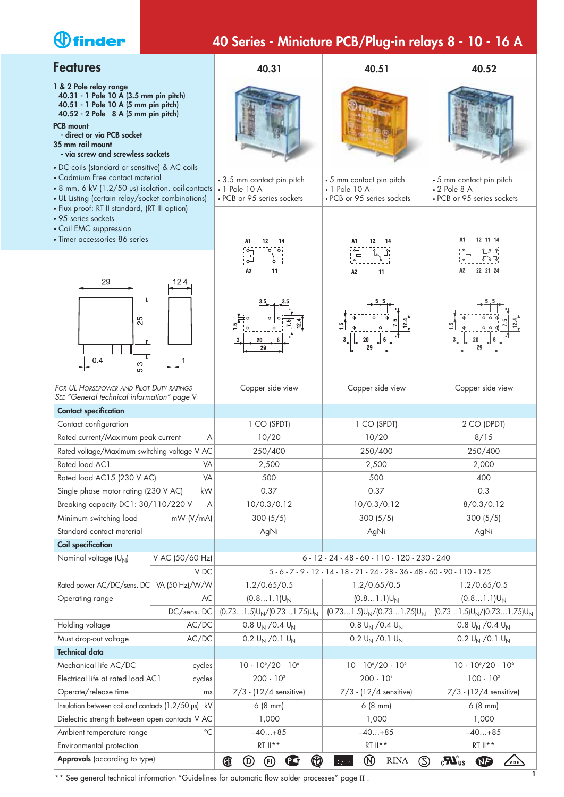# *<u>Ofinder</u>*

# **40 Series - Miniature PCB/Plug-in relays 8 - 10 - 16 A**

| <b>Features</b>                                                                                                                                                                                                                                                                                             | 40.31                                                                           | 40.51                                                                         | 40.52                                                                        |  |
|-------------------------------------------------------------------------------------------------------------------------------------------------------------------------------------------------------------------------------------------------------------------------------------------------------------|---------------------------------------------------------------------------------|-------------------------------------------------------------------------------|------------------------------------------------------------------------------|--|
| 1 & 2 Pole relay range<br>40.31 - 1 Pole 10 A (3.5 mm pin pitch)<br>40.51 - 1 Pole 10 A (5 mm pin pitch)<br>40.52 - 2 Pole 8 A (5 mm pin pitch)<br><b>PCB mount</b><br>- direct or via PCB socket<br>35 mm rail mount<br>- via screw and screwless sockets<br>• DC coils (standard or sensitive) & AC coils |                                                                                 |                                                                               |                                                                              |  |
| • Cadmium Free contact material<br>• 8 mm, 6 kV (1.2/50 µs) isolation, coil-contacts<br>• UL Listing (certain relay/socket combinations)<br>· Flux proof: RT II standard, (RT III option)                                                                                                                   | • 3.5 mm contact pin pitch<br>$\cdot$ 1 Pole 10 A<br>• PCB or 95 series sockets | • 5 mm contact pin pitch<br>$\cdot$ 1 Pole 10 A<br>• PCB or 95 series sockets | • 5 mm contact pin pitch<br>$\cdot$ 2 Pole 8 A<br>• PCB or 95 series sockets |  |
| • 95 series sockets<br>• Coil EMC suppression<br>• Timer accessories 86 series                                                                                                                                                                                                                              | 12<br>14                                                                        | 12<br>14                                                                      | 12 11 14                                                                     |  |
| 29<br>12.4                                                                                                                                                                                                                                                                                                  | 11<br>A2                                                                        | 11<br>A2                                                                      | , 인<br>$\delta$<br>22 21 24<br>A2                                            |  |
| 25<br>0.4<br>53                                                                                                                                                                                                                                                                                             | 20<br>29                                                                        | 29                                                                            | 20<br>29                                                                     |  |
| FOR UL HORSEPOWER AND PILOT DUTY RATINGS<br>SEE "General technical information" page V                                                                                                                                                                                                                      | Copper side view                                                                | Copper side view                                                              | Copper side view                                                             |  |
| <b>Contact specification</b>                                                                                                                                                                                                                                                                                |                                                                                 |                                                                               |                                                                              |  |
| Contact configuration                                                                                                                                                                                                                                                                                       | 1 CO (SPDT)                                                                     | 1 CO (SPDT)                                                                   | 2 CO (DPDT)                                                                  |  |
| Rated current/Maximum peak current<br>Α                                                                                                                                                                                                                                                                     | 10/20                                                                           | 10/20                                                                         | 8/15                                                                         |  |
| Rated voltage/Maximum switching voltage V AC                                                                                                                                                                                                                                                                | 250/400                                                                         | 250/400                                                                       | 250/400                                                                      |  |
| Rated load AC1<br>VA                                                                                                                                                                                                                                                                                        | 2,500<br>500                                                                    | 2,500<br>500                                                                  | 2,000<br>400                                                                 |  |
| Rated load AC15 (230 V AC)<br>VA<br>Single phase motor rating (230 V AC)<br>kW                                                                                                                                                                                                                              | 0.37                                                                            | 0.37                                                                          | 0.3                                                                          |  |
| Breaking capacity DC1: 30/110/220 V<br>Α                                                                                                                                                                                                                                                                    | 10/0.3/0.12                                                                     | 10/0.3/0.12                                                                   | 8/0.3/0.12                                                                   |  |
| Minimum switching load<br>mW (V/mA)                                                                                                                                                                                                                                                                         | 300(5/5)                                                                        | 300(5/5)                                                                      | 300(5/5)                                                                     |  |
| Standard contact material                                                                                                                                                                                                                                                                                   | AgNi                                                                            | AgNi                                                                          | AgNi                                                                         |  |
| <b>Coil specification</b>                                                                                                                                                                                                                                                                                   |                                                                                 |                                                                               |                                                                              |  |
| Nominal voltage (U <sub>N</sub> )<br>V AC (50/60 Hz)                                                                                                                                                                                                                                                        |                                                                                 | 6 - 12 - 24 - 48 - 60 - 110 - 120 - 230 - 240                                 |                                                                              |  |
| V DC                                                                                                                                                                                                                                                                                                        |                                                                                 | $5 - 6 - 7 - 9 - 12 - 14 - 18 - 21 - 24 - 28 - 36 - 48 - 60 - 90 - 110 - 125$ |                                                                              |  |
| Rated power AC/DC/sens. DC VA (50 Hz)/W/W                                                                                                                                                                                                                                                                   | 1.2/0.65/0.5                                                                    | 1.2/0.65/0.5                                                                  | 1.2/0.65/0.5                                                                 |  |
| Operating range<br>AC                                                                                                                                                                                                                                                                                       | $(0.81.1)U_N$                                                                   | $(0.81.1)U_N$                                                                 | $(0.81.1)U_N$                                                                |  |
| DC/sens. DC                                                                                                                                                                                                                                                                                                 | $(0.731.5)U_N/(0.731.75)U_N$                                                    | $(0.731.5)U_N/(0.731.75)U_N$                                                  | $(0.731.5)U_N/(0.731.75)U_N$                                                 |  |
| Holding voltage<br>AC/DC                                                                                                                                                                                                                                                                                    | 0.8 $U_N$ /0.4 $U_N$                                                            | 0.8 $U_N$ /0.4 $U_N$                                                          | 0.8 $U_N$ /0.4 $U_N$                                                         |  |
| Must drop-out voltage<br>AC/DC                                                                                                                                                                                                                                                                              | 0.2 $U_N$ /0.1 $U_N$                                                            | 0.2 $U_N$ /0.1 $U_N$                                                          | 0.2 $U_N$ /0.1 $U_N$                                                         |  |
| <b>Technical data</b>                                                                                                                                                                                                                                                                                       |                                                                                 |                                                                               |                                                                              |  |
| Mechanical life AC/DC<br>cycles                                                                                                                                                                                                                                                                             | $10 \cdot 10^{6} / 20 \cdot 10^{6}$                                             | $10 \cdot 10^{6} / 20 \cdot 10^{6}$                                           | $10 \cdot 10^{6} / 20 \cdot 10^{6}$                                          |  |
| Electrical life at rated load AC1<br>cycles                                                                                                                                                                                                                                                                 | $200 \cdot 10^{3}$                                                              | $200 \cdot 10^{3}$                                                            | $100 \cdot 10^{3}$                                                           |  |
| Operate/release time<br>ms                                                                                                                                                                                                                                                                                  | $7/3 - (12/4$ sensitive)                                                        | 7/3 - (12/4 sensitive)                                                        | 7/3 - (12/4 sensitive)                                                       |  |
| Insulation between coil and contacts (1.2/50 µs)<br>kV                                                                                                                                                                                                                                                      | 6(8 mm)                                                                         | 6(8 mm)                                                                       | 6(8 mm)                                                                      |  |
| Dielectric strength between open contacts V AC                                                                                                                                                                                                                                                              | 1,000                                                                           | 1,000                                                                         | 1,000                                                                        |  |
| $^{\circ}C$<br>Ambient temperature range                                                                                                                                                                                                                                                                    | $-40+85$                                                                        | $-40+85$                                                                      | $-40+85$                                                                     |  |
| Environmental protection                                                                                                                                                                                                                                                                                    | RT II**                                                                         | RT II**                                                                       | RT II**                                                                      |  |
| Approvals (according to type)                                                                                                                                                                                                                                                                               | $^{\circledR}$<br>$\mathbf{C}$<br>$^\circledR$<br>Œ<br>டு                       | $^\circledR$<br>⑤<br><b>RINA</b><br>, kloyds<br>Register                      | $\mathbf{u}^{\text{w}}$<br><b>S</b><br>VDE                                   |  |

**<sup>1</sup>** \*\* See general technical information "Guidelines for automatic flow solder processes" page II .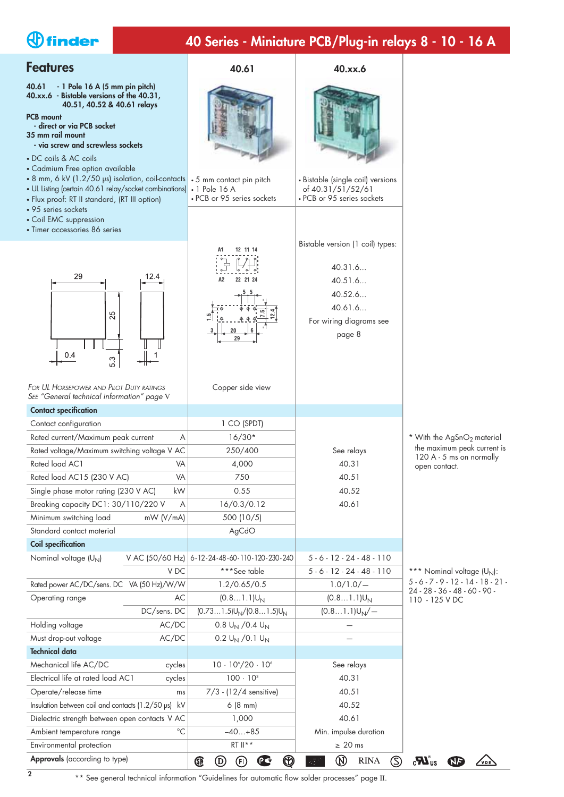# *<u>Ofinder</u>*

# **40 Series - Miniature PCB/Plug-in relays 8 - 10 - 16 A**

Bistable version (1 coil) types:

• Bistable (single coil) versions of 40.31/51/52/61 • PCB or 95 series sockets

40.31.6... 40.51.6... 40.52.6... 40.61.6... For wiring diagrams see page 8

**40.61 40.xx.6**

# **Features**

**40.61 - 1 Pole 16 A (5 mm pin pitch) 40.xx.6 - Bistable versions of the 40.31, 40.51, 40.52 & 40.61 relays**

#### **PCB mount - direct or via PCB socket**

**35 mm rail mount - via screw and screwless sockets**

- DC coils & AC coils
- Cadmium Free option available
- 8 mm, 6 kV (1.2/50 µs) isolation, coil-contacts | 5 mm contact pin pitch
- UL Listing (certain 40.61 relay/socket combinations)| 1 Pole 16 A
- Flux proof: RT II standard, (RT III option)
- 95 series sockets
- Coil EMC suppression
- Timer accessories 86 series



*FOR UL HORSEPOWER AND PILOT DUTY RATINGS SEE "General technical information" page* <sup>V</sup>

| <b>Contact specification</b>                        |                 |                                             |                                                                       |  |
|-----------------------------------------------------|-----------------|---------------------------------------------|-----------------------------------------------------------------------|--|
| Contact configuration                               |                 | 1 CO (SPDT)                                 |                                                                       |  |
| Rated current/Maximum peak current                  | A               | $16/30*$                                    |                                                                       |  |
| Rated voltage/Maximum switching voltage V AC        |                 | 250/400                                     | See relays                                                            |  |
| Rated load AC1                                      | VA              | 4,000                                       | 40.31                                                                 |  |
| Rated load AC15 (230 V AC)                          | VA              | 750                                         | 40.51                                                                 |  |
| Single phase motor rating (230 V AC)                | kW              | 0.55                                        | 40.52                                                                 |  |
| Breaking capacity DC1: 30/110/220 V                 | A               | 16/0.3/0.12                                 | 40.61                                                                 |  |
| Minimum switching load                              | mW (V/mA)       | 500 (10/5)                                  |                                                                       |  |
| Standard contact material                           |                 | AgCdO                                       |                                                                       |  |
| <b>Coil specification</b>                           |                 |                                             |                                                                       |  |
| Nominal voltage (U <sub>N</sub> )                   | V AC (50/60 Hz) | 6-12-24-48-60-110-120-230-240               | $5 - 6 - 12 - 24 - 48 - 110$                                          |  |
|                                                     | V <sub>DC</sub> | ***See table                                | $5 - 6 - 12 - 24 - 48 - 110$                                          |  |
| Rated power AC/DC/sens. DC VA (50 Hz)/W/W           |                 | 1.2/0.65/0.5                                | 1.0/1.0/                                                              |  |
| Operating range                                     | AC              | $(0.81.1)U_N$                               | $(0.81.1)U_N$                                                         |  |
|                                                     | DC/sens. DC     | $(0.731.5)U_N/(0.81.5)U_N$                  | $(0.81.1)U_N$ /-                                                      |  |
| Holding voltage                                     | AC/DC           | 0.8 $U_N$ /0.4 $U_N$                        |                                                                       |  |
| Must drop-out voltage                               | AC/DC           | 0.2 $U_N$ /0.1 $U_N$                        |                                                                       |  |
| <b>Technical data</b>                               |                 |                                             |                                                                       |  |
| Mechanical life AC/DC                               | cycles          | $10 \cdot 10^{6} / 20 \cdot 10^{6}$         | See relays                                                            |  |
| Electrical life at rated load AC1<br>cycles         |                 | $100 \cdot 10^{3}$                          | 40.31                                                                 |  |
| Operate/release time<br>ms                          |                 | $7/3 - (12/4$ sensitive)                    | 40.51                                                                 |  |
| Insulation between coil and contacts (1.2/50 µs) kV |                 | 6(8 mm)                                     | 40.52                                                                 |  |
| Dielectric strength between open contacts V AC      |                 | 1,000                                       | 40.61                                                                 |  |
| Ambient temperature range                           | $^{\circ}C$     | $-40+85$                                    | Min. impulse duration                                                 |  |
| Environmental protection                            |                 | $RT \parallel$ **<br>$\geq 20$ ms           |                                                                       |  |
| Approvals (according to type)                       |                 | ⋒<br>Œ<br>$\left(  D \right)$<br>(FI)<br>ρđ | $^\text{\textregistered}$<br>(S)<br>Lloyds<br>Register<br><b>RINA</b> |  |

Copper side view

• PCB or 95 series sockets

 $A<sub>2</sub>$ 22 21 24

12 11 14

\* With the  $AgSnO<sub>2</sub>$  material the maximum peak current is 120 A - 5 ms on normally open contact.

\*\*\* Nominal voltage  $(U_N)$ : 5 - 6 - 7 - 9 - 12 - 14 - 18 - 21 - 24 - 28 - 36 - 48 - 60 - 90 - 110 - 125 V DC

\*\* See general technical information "Guidelines for automatic flow solder processes" page II.

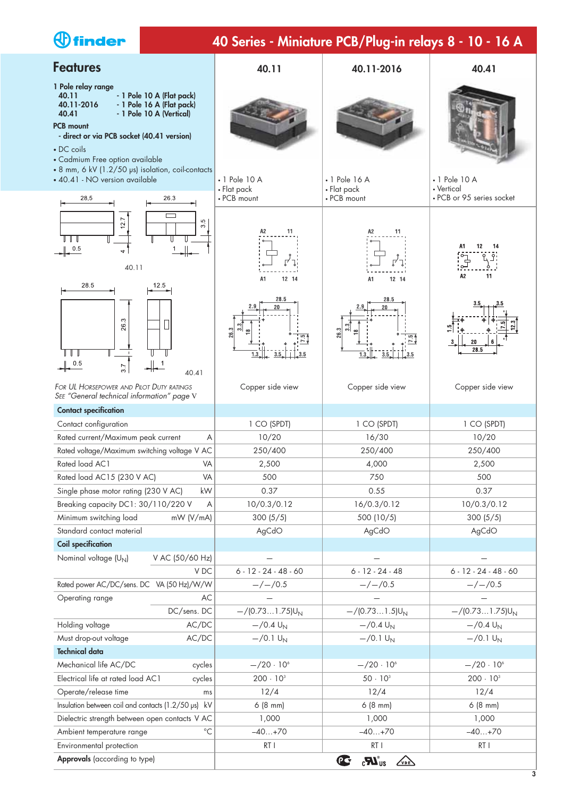| $\bigcirc$ finder                                                                                                                                                                                                                                           | 40 Series - Miniature PCB/Plug-in relays 8 - 10 - 16 A |                                                             |                                                                |
|-------------------------------------------------------------------------------------------------------------------------------------------------------------------------------------------------------------------------------------------------------------|--------------------------------------------------------|-------------------------------------------------------------|----------------------------------------------------------------|
| <b>Features</b>                                                                                                                                                                                                                                             | 40.11                                                  | 40.11-2016                                                  | 40.41                                                          |
| 1 Pole relay range<br>40.11<br>- 1 Pole 10 A (Flat pack)<br>- 1 Pole 16 A (Flat pack)<br>40.11-2016<br>40.41<br>- 1 Pole 10 A (Vertical)<br><b>PCB mount</b><br>- direct or via PCB socket (40.41 version)<br>• DC coils<br>• Cadmium Free option available |                                                        |                                                             |                                                                |
| • 8 mm, 6 kV (1.2/50 µs) isolation, coil-contacts<br>• 40.41 - NO version available<br>28.5<br>26.3                                                                                                                                                         | • 1 Pole 10 A<br>• Flat pack<br>• PCB mount            | $\cdot$ 1 Pole 16 A<br>• Flat pack<br>• PCB mount           | $\cdot$ 1 Pole 10 A<br>• Vertical<br>• PCB or 95 series socket |
| ┌─┐<br>127<br>S<br>$\infty$<br>0.5<br>4<br>40.11<br>28.5                                                                                                                                                                                                    | 11<br>A2<br>A1<br>12 14                                | 11<br>A1<br>12 14                                           | 12<br>14<br>A <sub>2</sub><br>11                               |
| 12.5<br>263<br>0.5<br>3.7<br>40.41                                                                                                                                                                                                                          | 28.5<br>26.3<br>ത്.<br>$3.5$ $3.5$<br>$\overline{1.3}$ | 28.5<br>್ಲೆ<br>26.3<br>$3.5$ $3.5$ $3.5$<br>$\frac{1.3}{-}$ | 20<br>28.5                                                     |
| FOR UL HORSEPOWER AND PILOT DUTY RATINGS<br>SEE "General technical information" page V                                                                                                                                                                      | Copper side view                                       | Copper side view                                            | Copper side view                                               |
| <b>Contact specification</b>                                                                                                                                                                                                                                |                                                        |                                                             |                                                                |
| Contact configuration                                                                                                                                                                                                                                       | 1 CO (SPDT)                                            | 1 CO (SPDT)                                                 | 1 CO (SPDT)                                                    |
| Rated current/Maximum peak current<br>Α                                                                                                                                                                                                                     | 10/20                                                  | 16/30                                                       | 10/20                                                          |
| Rated voltage/Maximum switching voltage V AC                                                                                                                                                                                                                | 250/400                                                | 250/400                                                     | 250/400                                                        |
| Rated load AC1<br>VA                                                                                                                                                                                                                                        | 2,500                                                  | 4,000                                                       | 2,500                                                          |
| Rated load AC15 (230 V AC)<br>VA                                                                                                                                                                                                                            | 500                                                    | 750                                                         | 500                                                            |
| Single phase motor rating (230 V AC)<br>kW                                                                                                                                                                                                                  | 0.37                                                   | 0.55                                                        | 0.37                                                           |
| Breaking capacity DC1: 30/110/220 V<br>A                                                                                                                                                                                                                    | 10/0.3/0.12                                            | 16/0.3/0.12                                                 | 10/0.3/0.12                                                    |
| Minimum switching load<br>mW (V/mA)<br>Standard contact material                                                                                                                                                                                            | 300(5/5)                                               | 500 (10/5)                                                  | 300(5/5)                                                       |
| <b>Coil specification</b>                                                                                                                                                                                                                                   | AgCdO                                                  | AgCdO                                                       | AgCdO                                                          |
| Nominal voltage (U <sub>N</sub> )<br>V AC (50/60 Hz)                                                                                                                                                                                                        |                                                        |                                                             |                                                                |
| V DC                                                                                                                                                                                                                                                        | $6 - 12 - 24 - 48 - 60$                                | $6 - 12 - 24 - 48$                                          | $6 - 12 - 24 - 48 - 60$                                        |
| Rated power AC/DC/sens. DC VA (50 Hz)/W/W                                                                                                                                                                                                                   | $-/-/0.5$                                              | $-/-/0.5$                                                   | $-/-/0.5$                                                      |
| Operating range<br>AC                                                                                                                                                                                                                                       |                                                        |                                                             |                                                                |
| DC/sens. DC                                                                                                                                                                                                                                                 | $-$ /(0.731.75) $U_N$                                  | $-$ /(0.731.5)U <sub>N</sub>                                | $-$ /(0.731.75) $U_N$                                          |
| Holding voltage<br>AC/DC                                                                                                                                                                                                                                    | $-$ /0.4 $U_N$                                         | $-$ /0.4 $U_N$                                              | $-$ /0.4 $U_N$                                                 |
| Must drop-out voltage<br>AC/DC                                                                                                                                                                                                                              | $-$ /0.1 $U_{N}$                                       | $-$ /0.1 $U_{N}$                                            | $-$ /0.1 U <sub>N</sub>                                        |
| <b>Technical data</b>                                                                                                                                                                                                                                       |                                                        |                                                             |                                                                |
| Mechanical life AC/DC<br>cycles                                                                                                                                                                                                                             | $-/20.106$                                             | $-/20.106$                                                  | $-/20.106$                                                     |
| Electrical life at rated load AC1<br>cycles                                                                                                                                                                                                                 | $200 \cdot 10^{3}$                                     | $50 \cdot 10^{3}$                                           | $200 \cdot 10^{3}$                                             |
| Operate/release time<br>ms                                                                                                                                                                                                                                  | 12/4                                                   | 12/4                                                        | 12/4                                                           |
| Insulation between coil and contacts (1.2/50 µs) kV                                                                                                                                                                                                         | 6(8 mm)                                                | 6(8 mm)                                                     | 6(8 mm)                                                        |
| Dielectric strength between open contacts V AC                                                                                                                                                                                                              | 1,000                                                  | 1,000                                                       | 1,000                                                          |
| $^{\circ}{\rm C}$<br>Ambient temperature range                                                                                                                                                                                                              | $-40+70$                                               | $-40+70$                                                    | $-40+70$                                                       |

Environmental protection **Approvals** (according to type)

RT I RTI RTI RTI

 $\overline{\mathbf{C} \cdot \mathbf{C} \cdot \mathbf{C} \cdot \mathbf{C} \cdot \mathbf{C} \cdot \mathbf{C} \cdot \mathbf{C} \cdot \mathbf{C} \cdot \mathbf{C} \cdot \mathbf{C} \cdot \mathbf{C} \cdot \mathbf{C} \cdot \mathbf{C} \cdot \mathbf{C} \cdot \mathbf{C} \cdot \mathbf{C} \cdot \mathbf{C} \cdot \mathbf{C} \cdot \mathbf{C} \cdot \mathbf{C} \cdot \mathbf{C} \cdot \mathbf{C} \cdot \mathbf{C} \cdot \mathbf{C} \cdot \mathbf{C} \cdot \mathbf{C} \cdot \mathbf{C} \cdot \$ 

#### **3**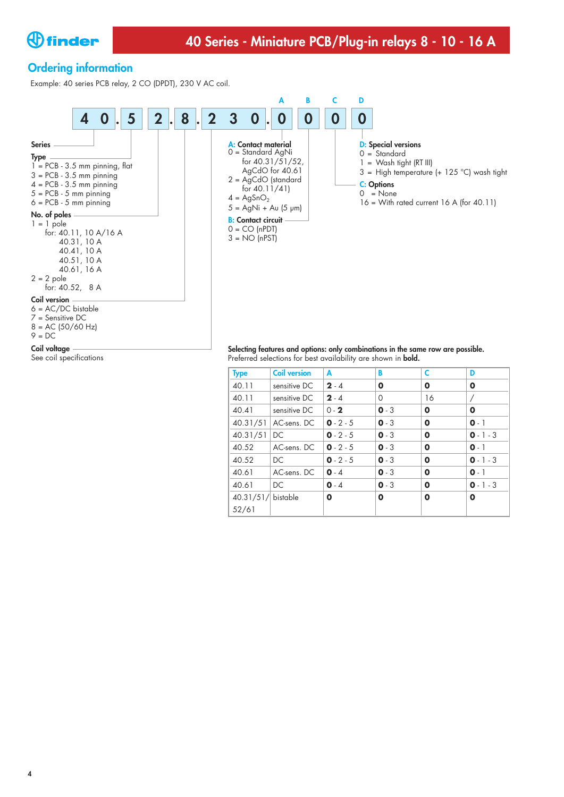

# **Ordering information**

Example: 40 series PCB relay, 2 CO (DPDT), 230 V AC coil.



See coil specifications

Preferred selections for best availability are shown in **bold.**

| <b>Type</b>          | <b>Coil version</b> | A           | B       | C           | D           |
|----------------------|---------------------|-------------|---------|-------------|-------------|
| 40.11                | sensitive DC        | $2 - 4$     | 0       | $\mathbf 0$ | O           |
| 40.11                | sensitive DC        | $2 - 4$     | 0       | 16          | Τ           |
| 40.41                | sensitive DC        | $0 - 2$     | $0 - 3$ | $\mathbf 0$ | O           |
| 40.31/51             | AC-sens, DC         | $0 - 2 - 5$ | $0 - 3$ | $\mathbf o$ | $0 - 1$     |
| 40.31/51             | DC.                 | $0 - 2 - 5$ | $0 - 3$ | $\mathbf o$ | $0 - 1 - 3$ |
| 40.52                | AC-sens, DC         | $0 - 2 - 5$ | $0 - 3$ | $\mathbf 0$ | $0 - 1$     |
| 40.52                | DC                  | $0 - 2 - 5$ | $0 - 3$ | $\mathbf o$ | $0 - 1 - 3$ |
| 40.61                | AC-sens, DC         | $0 - 4$     | $0 - 3$ | $\mathbf o$ | $0 - 1$     |
| 40.61                | DC                  | $0 - 4$     | $0 - 3$ | $\mathbf 0$ | $0 - 1 - 3$ |
| $40.31/51/$ bistable |                     | O           | O       | $\mathbf o$ | $\mathbf o$ |
| 52/61                |                     |             |         |             |             |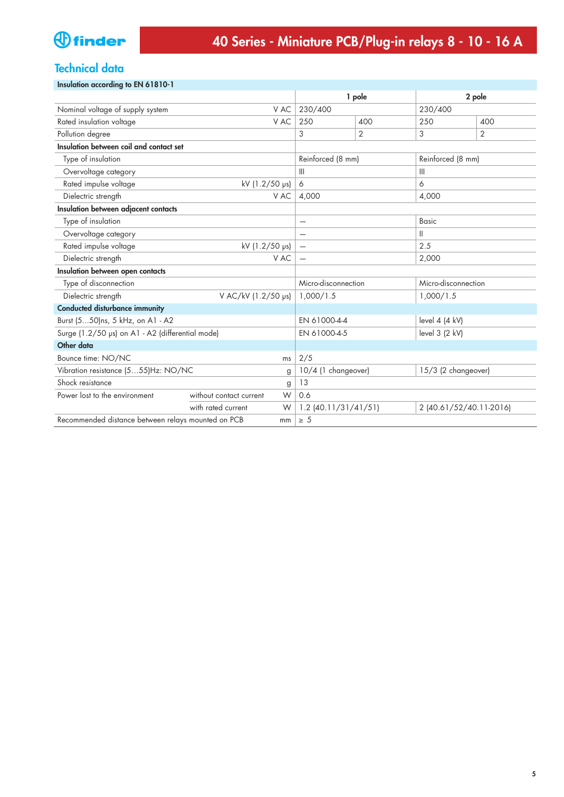# **Technical data**

#### **Insulation according to EN 61810-1**

|                                                          |                              |                          | 1 pole                                     |                     | 2 pole                  |  |
|----------------------------------------------------------|------------------------------|--------------------------|--------------------------------------------|---------------------|-------------------------|--|
| Nominal voltage of supply system                         | V AC                         | 230/400                  |                                            | 230/400             |                         |  |
| Rated insulation voltage                                 | V AC                         | 250                      | 400                                        | 250                 | 400                     |  |
| Pollution degree                                         |                              | 3                        | $\overline{2}$                             | 3                   | $\overline{2}$          |  |
| Insulation between coil and contact set                  |                              |                          |                                            |                     |                         |  |
| Type of insulation                                       |                              | Reinforced (8 mm)        |                                            | Reinforced (8 mm)   |                         |  |
| Overvoltage category                                     |                              | $\mathbb{H}$             |                                            | $\mathbb{H}$        |                         |  |
| Rated impulse voltage                                    | kV (1.2/50 ps)               | 6                        |                                            | 6                   |                         |  |
| Dielectric strength                                      | V AC                         | 4,000                    |                                            | 4,000               |                         |  |
| Insulation between adjacent contacts                     |                              |                          |                                            |                     |                         |  |
| Type of insulation                                       |                              | $\overline{\phantom{0}}$ |                                            | <b>Basic</b>        |                         |  |
| Overvoltage category                                     |                              | —                        |                                            | Ш                   |                         |  |
| Rated impulse voltage                                    | kV (1.2/50 ps)               |                          |                                            | 2.5                 |                         |  |
| Dielectric strength                                      | V AC                         | $\overline{\phantom{0}}$ | 2,000                                      |                     |                         |  |
| Insulation between open contacts                         |                              |                          |                                            |                     |                         |  |
| Type of disconnection                                    |                              |                          | Micro-disconnection                        | Micro-disconnection |                         |  |
| Dielectric strength                                      | V AC/kV (1.2/50 µs)          | 1,000/1.5                |                                            | 1,000/1.5           |                         |  |
| <b>Conducted disturbance immunity</b>                    |                              |                          |                                            |                     |                         |  |
| Burst (550)ns, 5 kHz, on A1 - A2                         |                              |                          | EN 61000-4-4<br>level $4$ $(4$ kV)         |                     |                         |  |
| Surge (1.2/50 µs) on A1 - A2 (differential mode)         |                              | EN 61000-4-5             |                                            | level 3 (2 kV)      |                         |  |
| Other data                                               |                              |                          |                                            |                     |                         |  |
| Bounce time: NO/NC<br>ms                                 |                              |                          |                                            |                     |                         |  |
| Vibration resistance (555)Hz: NO/NC<br>g                 |                              |                          | 10/4 (1 changeover)<br>15/3 (2 changeover) |                     |                         |  |
| Shock resistance                                         | g                            | 13                       |                                            |                     |                         |  |
| Power lost to the environment                            | without contact current<br>W | 0.6                      |                                            |                     |                         |  |
|                                                          | with rated current<br>W      |                          | $1.2$ (40.11/31/41/51)                     |                     | 2 (40.61/52/40.11-2016) |  |
| Recommended distance between relays mounted on PCB<br>mm |                              |                          |                                            |                     |                         |  |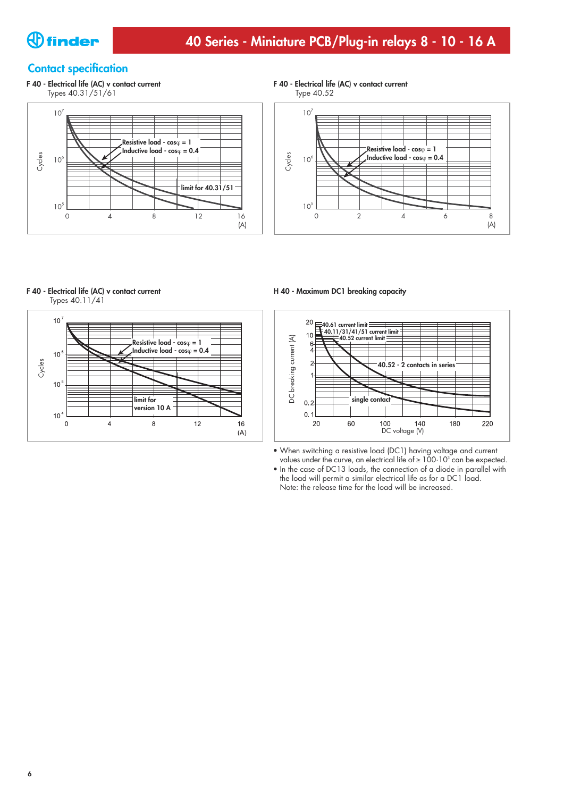

## **Contact specification**



## **F 40 - Electrical life (AC) v contact current**





#### **F 40 - Electrical life (AC) v contact current**

Types 40.11/41



#### **H 40 - Maximum DC1 breaking capacity**



- **•** When switching a resistive load (DC1) having voltage and current values under the curve, an electrical life of  $\geq 100 \cdot 10^{3}$  can be expected.
- **•** In the case of DC13 loads, the connection of a diode in parallel with the load will permit a similar electrical life as for a DC1 load. Note: the release time for the load will be increased.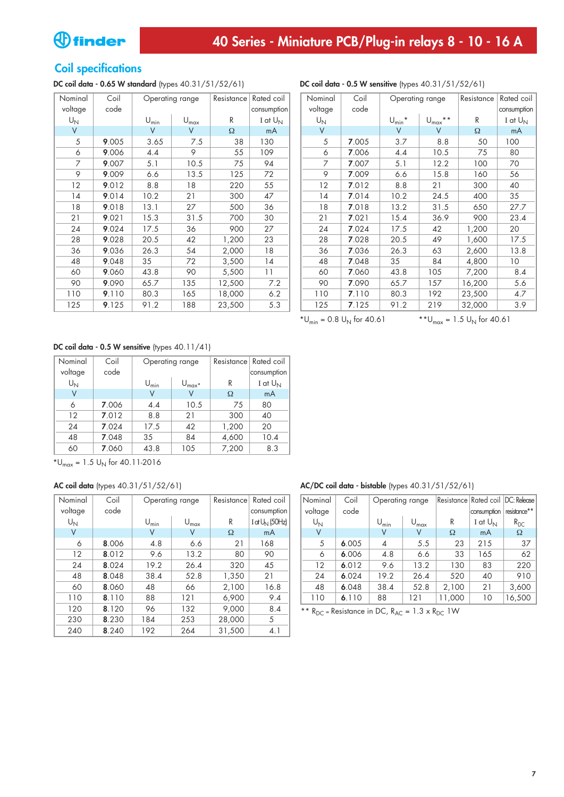# **Coil specifications**

## **DC coil data - 0.65 W standard** (types 40.31/51/52/61) **DC coil data - 0.5 W sensitive** (types 40.31/51/52/61)

| Nominal                 | Coil  |                             | Operating range             | Resistance | Rated coil   |
|-------------------------|-------|-----------------------------|-----------------------------|------------|--------------|
| voltage                 | code  |                             |                             |            | consumption  |
| $\mathsf{U}_\mathsf{N}$ |       | $\mathsf{U}_{\mathsf{min}}$ | $\mathsf{U}_{\mathsf{max}}$ | R          | I at $U_{N}$ |
| V                       |       | V                           | V                           | Ω          | mA           |
| 5                       | 9.005 | 3.65                        | 7.5                         | 38         | 130          |
| 6                       | 9.006 | 4.4                         | 9                           | 55         | 109          |
| 7                       | 9.007 | 5.1                         | 10.5                        | 75         | 94           |
| 9                       | 9.009 | 6.6                         | 13.5                        | 125        | 72           |
| 12                      | 9.012 | 8.8                         | 18                          | 220        | 55           |
| 14                      | 9.014 | 10.2                        | 21                          | 300        | 47           |
| 18                      | 9.018 | 13.1                        | 27                          | 500        | 36           |
| 21                      | 9.021 | 15.3                        | 31.5                        | 700        | 30           |
| 24                      | 9.024 | 17.5                        | 36                          | 900        | 27           |
| 28                      | 9.028 | 20.5                        | 42                          | 1,200      | 23           |
| 36                      | 9.036 | 26.3                        | 54                          | 2,000      | 18           |
| 48                      | 9.048 | 35                          | 72                          | 3,500      | 14           |
| 60                      | 9.060 | 43.8                        | 90                          | 5,500      | 11           |
| 90                      | 9.090 | 65.7                        | 135                         | 12,500     | 7.2          |
| 110                     | 9.110 | 80.3                        | 165                         | 18,000     | 6.2          |
| 125                     | 9.125 | 91.2                        | 188                         | 23,500     | 5.3          |

| <b>DC coil data - 0.5 W sensitive</b> (types $40.31/51/52/61$ ) |       |                 |                     |            |             |  |  |
|-----------------------------------------------------------------|-------|-----------------|---------------------|------------|-------------|--|--|
| Nominal                                                         | Coil  | Operating range |                     | Resistance | Rated coil  |  |  |
| voltage                                                         | code  |                 |                     |            | consumption |  |  |
| $U_N$                                                           |       | $U_{\min}$ *    | $U_{\text{max}}$ ** | R          | I at $U_N$  |  |  |
| V                                                               |       | V               | V                   | $\Omega$   | mA          |  |  |
| 5                                                               | 7.005 | 3.7             | 8.8                 | 50         | 100         |  |  |
| 6                                                               | 7.006 | 4.4             | 10.5                | 75         | 80          |  |  |
| 7                                                               | 7.007 | 5.1             | 12.2                | 100        | 70          |  |  |
| 9                                                               | 7.009 | 6.6             | 15.8                | 160        | 56          |  |  |
| 12                                                              | 7.012 | 8.8             | 21                  | 300        | 40          |  |  |
| 14                                                              | 7.014 | 10.2            | 24.5                | 400        | 35          |  |  |
| 18                                                              | 7.018 | 13.2            | 31.5                | 650        | 27.7        |  |  |
| 21                                                              | 7.021 | 15.4            | 36.9                | 900        | 23.4        |  |  |
| 24                                                              | 7.024 | 17.5            | 42                  | 1,200      | 20          |  |  |
| 28                                                              | 7.028 | 20.5            | 49                  | 1,600      | 17.5        |  |  |
| 36                                                              | 7.036 | 26.3            | 63                  | 2,600      | 13.8        |  |  |
| 48                                                              | 7.048 | 35              | 84                  | 4,800      | 10          |  |  |
| 60                                                              | 7.060 | 43.8            | 105                 | 7,200      | 8.4         |  |  |
| 90                                                              | 7.090 | 65.7            | 157                 | 16,200     | 5.6         |  |  |
| 110                                                             | 7.110 | 80.3            | 192                 | 23,500     | 4.7         |  |  |
| 125                                                             | 7.125 | 91.2            | 219                 | 32,000     | 3.9         |  |  |

\*U<sub>min</sub> = 0.8 U<sub>N</sub> for 40.61  $*$ \*U<sub>max</sub> = 1.5 U<sub>N</sub> for 40.61

#### **DC coil data - 0.5 W sensitive** (types 40.11/41)

| Nominal     | Coil  | Operating range        |                  | Resistance | Rated coil  |
|-------------|-------|------------------------|------------------|------------|-------------|
| voltage     | code  |                        |                  |            | consumption |
| $U_{\rm N}$ |       | $\mathsf{U}_{\sf min}$ | $U_{\text{max}}$ | R          | I at $U_N$  |
| ٧           |       | V                      | V                | Ω          | mA          |
| 6           | 7.006 | 10.5<br>4.4            |                  | 75         | 80          |
| 12          | 7.012 | 8.8<br>21              |                  | 300        | 40          |
| 24          | 7.024 | 17.5<br>42             |                  | 1,200      | 20          |
| 48          | 7.048 | 35<br>84               |                  | 4,600      | 10.4        |
| 60          | 7.060 | 43.8                   | 105              | 7,200      | 8.3         |

 $*U_{\text{max}} = 1.5 U_{\text{N}}$  for 40.11-2016

#### **AC coil data** (types 40.31/51/52/61)

| Nominal | Coil  |                  | Operating range  | Resistance | Rated coil          |
|---------|-------|------------------|------------------|------------|---------------------|
| voltage | code  |                  |                  |            | consumption         |
| $U_N$   |       | $U_{\text{min}}$ | $U_{\text{max}}$ | R          | $I$ at $U_N$ (50Hz) |
| ٧       |       | V                | V                | Ω          | mA                  |
| 6       | 8.006 | 4.8              | 6.6              | 21         | 168                 |
| 12      | 8.012 | 9.6              | 13.2             | 80         | 90                  |
| 24      | 8.024 | 19.2             | 26.4             | 320        | 45                  |
| 48      | 8.048 | 38.4             | 52.8             | 1,350      | 21                  |
| 60      | 8.060 | 48               | 66               | 2,100      | 16.8                |
| 110     | 8.110 | 88               | 121              | 6,900      | 9.4                 |
| 120     | 8.120 | 96               | 132              | 9,000      | 8.4                 |
| 230     | 8.230 | 184              | 253              | 28,000     | 5                   |
| 240     | 8.240 | 192              | 264              | 31,500     | 4.1                 |

**AC/DC coil data - bistable** (types 40.31/51/52/61)

| Nominal | Coil  | Operating range  |                  |        | Resistance Rated coil | DC: Release  |
|---------|-------|------------------|------------------|--------|-----------------------|--------------|
| voltage | code  |                  |                  |        | consumption           | resistance** |
| $U_N$   |       | $U_{\text{min}}$ | $U_{\text{max}}$ | R      | I at $U_{N}$          | $R_{DC}$     |
| ٧       |       | V                | V                | Ω      | mA                    | Ω            |
| 5       | 6.005 | 4                | 5.5              | 23     | 215                   | 37           |
| 6       | 6.006 | 4.8              | 6.6              | 33     | 165                   | 62           |
| 12      | 6.012 | 9.6              | 13.2             | 130    | 83                    | 220          |
| 24      | 6.024 | 19.2             | 26.4             | 520    | 40                    | 910          |
| 48      | 6.048 | 38.4             | 52.8             | 2,100  | 21                    | 3,600        |
| 110     | 6.110 | 88               | 121              | 11,000 | 10                    | 16,500       |

\*\*  $R_{DC}$  = Resistance in DC,  $R_{AC}$  = 1.3 x  $R_{DC}$  1W